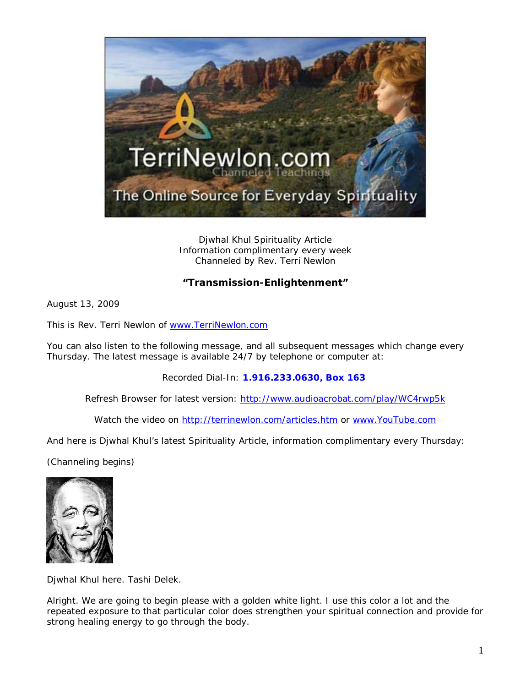

Djwhal Khul Spirituality Article Information complimentary every week Channeled by Rev. Terri Newlon

## **"Transmission-Enlightenment"**

August 13, 2009

This is Rev. Terri Newlon of [www.TerriNewlon.com](http://www.terrinewlon.com/)

You can also listen to the following message, and all subsequent messages which change every Thursday. The latest message is available 24/7 by telephone or computer at:

Recorded Dial-In: **1.916.233.0630, Box 163**

Refresh Browser for latest version: <http://www.audioacrobat.com/play/WC4rwp5k>

Watch the video on<http://terrinewlon.com/articles.htm> or [www.YouTube.com](http://www.youtube.com/)

And here is Djwhal Khul's latest Spirituality Article, information complimentary every Thursday:

(Channeling begins)



Djwhal Khul here. Tashi Delek.

Alright. We are going to begin please with a golden white light. I use this color a lot and the repeated exposure to that particular color does strengthen your spiritual connection and provide for strong healing energy to go through the body.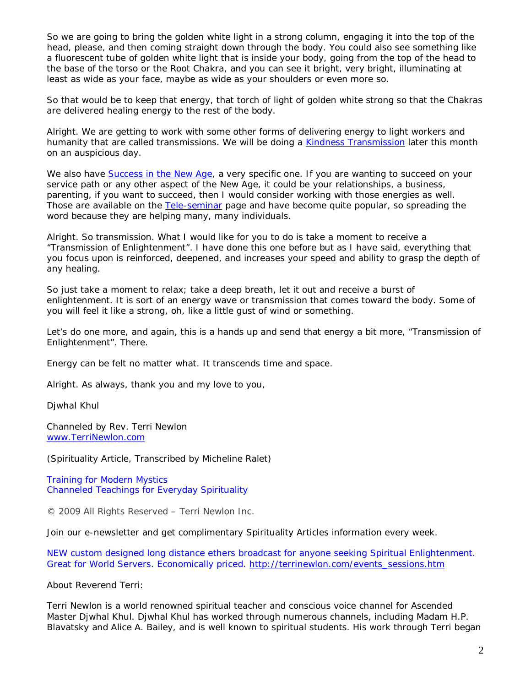So we are going to bring the golden white light in a strong column, engaging it into the top of the head, please, and then coming straight down through the body. You could also see something like a fluorescent tube of golden white light that is inside your body, going from the top of the head to the base of the torso or the Root Chakra, and you can see it bright, very bright, illuminating at least as wide as your face, maybe as wide as your shoulders or even more so.

So that would be to keep that energy, that torch of light of golden white strong so that the Chakras are delivered healing energy to the rest of the body.

Alright. We are getting to work with some other forms of delivering energy to light workers and humanity that are called transmissions. We will be doing a [Kindness Transmission](http://www.terrinewlon.com/kindness_transmission.html) later this month on an auspicious day.

We also have [Success in the New Age,](http://www.terrinewlon.com/Success_in_the_New_Age.html) a very specific one. If you are wanting to succeed on your service path or any other aspect of the New Age, it could be your relationships, a business, parenting, if you want to succeed, then I would consider working with those energies as well. Those are available on the Tele-seminar page and have become quite popular, so spreading the word because they are helping many, many individuals.

Alright. So transmission. What I would like for you to do is take a moment to receive a "Transmission of Enlightenment". I have done this one before but as I have said, everything that you focus upon is reinforced, deepened, and increases your speed and ability to grasp the depth of any healing.

So just take a moment to relax; take a deep breath, let it out and receive a burst of enlightenment. It is sort of an energy wave or transmission that comes toward the body. Some of you will feel it like a strong, oh, like a little gust of wind or something.

Let's do one more, and again, this is a hands up and send that energy a bit more, "Transmission of Enlightenment". There.

Energy can be felt no matter what. It transcends time and space.

Alright. As always, thank you and my love to you,

Djwhal Khul

Channeled by Rev. Terri Newlon [www.TerriNewlon.com](http://www.terrinewlon.com/)

(Spirituality Article, Transcribed by Micheline Ralet)

Training for Modern Mystics [Channeled Teachings for Everyday Spirituality](http://www.terrinewlon.com/)

© 2009 All Rights Reserved – Terri Newlon Inc.

Join our e-newsletter and get complimentary Spirituality Articles information every week.

NEW custom designed long distance ethers broadcast for anyone seeking Spiritual Enlightenment. Great for World Servers. Economically priced. [http://terrinewlon.com/events\\_sessions.htm](http://terrinewlon.com/events_sessions.htm)

About Reverend Terri:

Terri Newlon is a world renowned spiritual teacher and conscious voice channel for Ascended Master Djwhal Khul. Djwhal Khul has worked through numerous channels, including Madam H.P. Blavatsky and Alice A. Bailey, and is well known to spiritual students. His work through Terri began